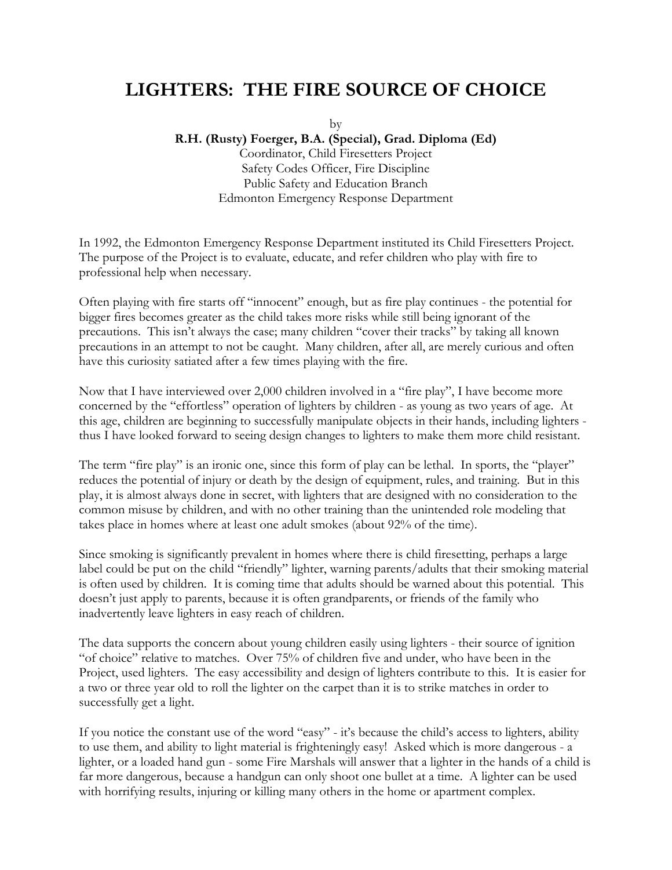## **LIGHTERS: THE FIRE SOURCE OF CHOICE**

by

**R.H. (Rusty) Foerger, B.A. (Special), Grad. Diploma (Ed)** 

Coordinator, Child Firesetters Project Safety Codes Officer, Fire Discipline Public Safety and Education Branch Edmonton Emergency Response Department

In 1992, the Edmonton Emergency Response Department instituted its Child Firesetters Project. The purpose of the Project is to evaluate, educate, and refer children who play with fire to professional help when necessary.

Often playing with fire starts off "innocent" enough, but as fire play continues - the potential for bigger fires becomes greater as the child takes more risks while still being ignorant of the precautions. This isn't always the case; many children "cover their tracks" by taking all known precautions in an attempt to not be caught. Many children, after all, are merely curious and often have this curiosity satiated after a few times playing with the fire.

Now that I have interviewed over 2,000 children involved in a "fire play", I have become more concerned by the "effortless" operation of lighters by children - as young as two years of age. At this age, children are beginning to successfully manipulate objects in their hands, including lighters thus I have looked forward to seeing design changes to lighters to make them more child resistant.

The term "fire play" is an ironic one, since this form of play can be lethal. In sports, the "player" reduces the potential of injury or death by the design of equipment, rules, and training. But in this play, it is almost always done in secret, with lighters that are designed with no consideration to the common misuse by children, and with no other training than the unintended role modeling that takes place in homes where at least one adult smokes (about 92% of the time).

Since smoking is significantly prevalent in homes where there is child firesetting, perhaps a large label could be put on the child "friendly" lighter, warning parents/adults that their smoking material is often used by children. It is coming time that adults should be warned about this potential. This doesn't just apply to parents, because it is often grandparents, or friends of the family who inadvertently leave lighters in easy reach of children.

The data supports the concern about young children easily using lighters - their source of ignition "of choice" relative to matches. Over 75% of children five and under, who have been in the Project, used lighters. The easy accessibility and design of lighters contribute to this. It is easier for a two or three year old to roll the lighter on the carpet than it is to strike matches in order to successfully get a light.

If you notice the constant use of the word "easy" - it's because the child's access to lighters, ability to use them, and ability to light material is frighteningly easy! Asked which is more dangerous - a lighter, or a loaded hand gun - some Fire Marshals will answer that a lighter in the hands of a child is far more dangerous, because a handgun can only shoot one bullet at a time. A lighter can be used with horrifying results, injuring or killing many others in the home or apartment complex.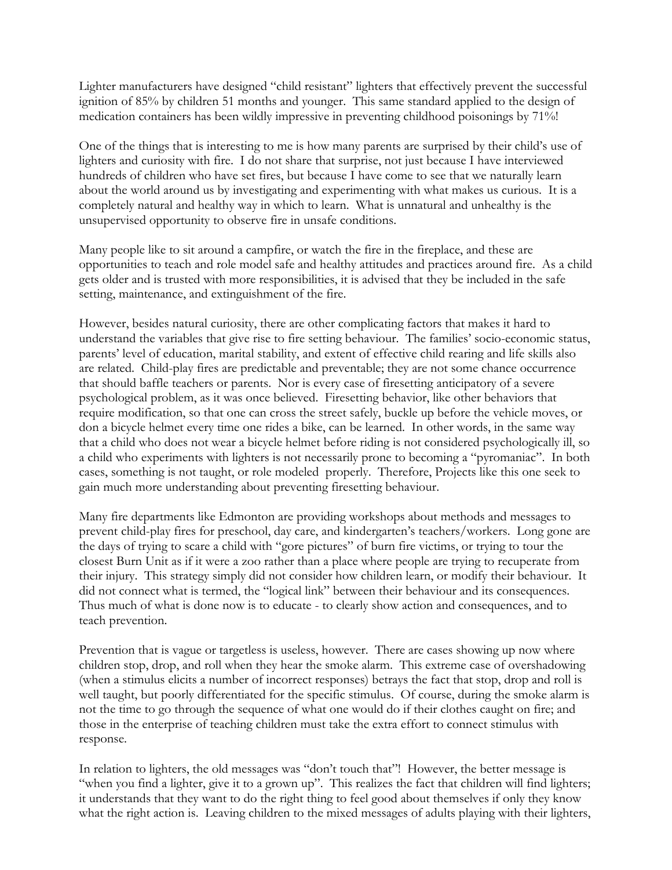Lighter manufacturers have designed "child resistant" lighters that effectively prevent the successful ignition of 85% by children 51 months and younger. This same standard applied to the design of medication containers has been wildly impressive in preventing childhood poisonings by 71%!

One of the things that is interesting to me is how many parents are surprised by their child's use of lighters and curiosity with fire. I do not share that surprise, not just because I have interviewed hundreds of children who have set fires, but because I have come to see that we naturally learn about the world around us by investigating and experimenting with what makes us curious. It is a completely natural and healthy way in which to learn. What is unnatural and unhealthy is the unsupervised opportunity to observe fire in unsafe conditions.

Many people like to sit around a campfire, or watch the fire in the fireplace, and these are opportunities to teach and role model safe and healthy attitudes and practices around fire. As a child gets older and is trusted with more responsibilities, it is advised that they be included in the safe setting, maintenance, and extinguishment of the fire.

However, besides natural curiosity, there are other complicating factors that makes it hard to understand the variables that give rise to fire setting behaviour. The families' socio-economic status, parents' level of education, marital stability, and extent of effective child rearing and life skills also are related. Child-play fires are predictable and preventable; they are not some chance occurrence that should baffle teachers or parents. Nor is every case of firesetting anticipatory of a severe psychological problem, as it was once believed. Firesetting behavior, like other behaviors that require modification, so that one can cross the street safely, buckle up before the vehicle moves, or don a bicycle helmet every time one rides a bike, can be learned. In other words, in the same way that a child who does not wear a bicycle helmet before riding is not considered psychologically ill, so a child who experiments with lighters is not necessarily prone to becoming a "pyromaniac". In both cases, something is not taught, or role modeled properly. Therefore, Projects like this one seek to gain much more understanding about preventing firesetting behaviour.

Many fire departments like Edmonton are providing workshops about methods and messages to prevent child-play fires for preschool, day care, and kindergarten's teachers/workers. Long gone are the days of trying to scare a child with "gore pictures" of burn fire victims, or trying to tour the closest Burn Unit as if it were a zoo rather than a place where people are trying to recuperate from their injury. This strategy simply did not consider how children learn, or modify their behaviour. It did not connect what is termed, the "logical link" between their behaviour and its consequences. Thus much of what is done now is to educate - to clearly show action and consequences, and to teach prevention.

Prevention that is vague or targetless is useless, however. There are cases showing up now where children stop, drop, and roll when they hear the smoke alarm. This extreme case of overshadowing (when a stimulus elicits a number of incorrect responses) betrays the fact that stop, drop and roll is well taught, but poorly differentiated for the specific stimulus. Of course, during the smoke alarm is not the time to go through the sequence of what one would do if their clothes caught on fire; and those in the enterprise of teaching children must take the extra effort to connect stimulus with response.

In relation to lighters, the old messages was "don't touch that"! However, the better message is "when you find a lighter, give it to a grown up". This realizes the fact that children will find lighters; it understands that they want to do the right thing to feel good about themselves if only they know what the right action is. Leaving children to the mixed messages of adults playing with their lighters,